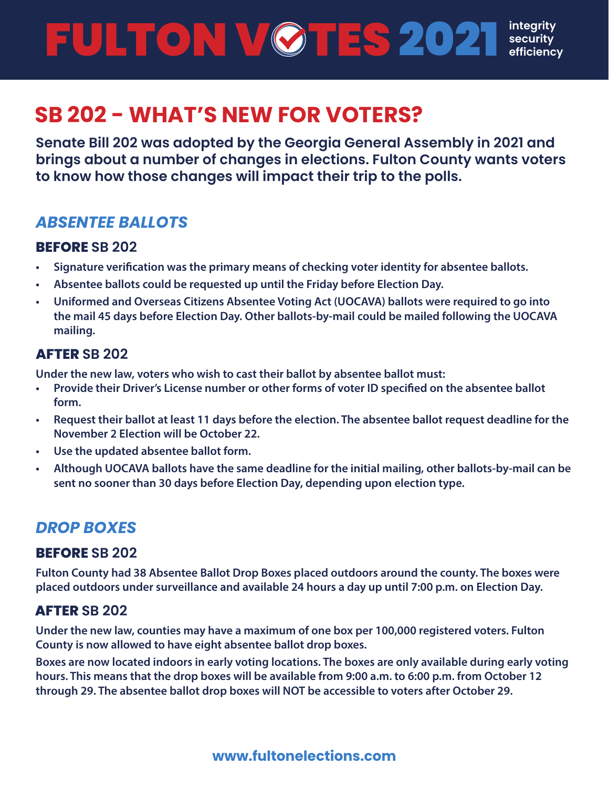**integrity** FULTON V **ØTES 2021 efficiency** 

# **SB 202 - WHAT'S NEW FOR VOTERS?**

**Senate Bill 202 was adopted by the Georgia General Assembly in 2021 and brings about a number of changes in elections. Fulton County wants voters to know how those changes will impact their trip to the polls.**

## *ABSENTEE BALLOTS*

#### **BEFORE SB 202**

- **• Signature verification was the primary means of checking voter identity for absentee ballots.**
- **• Absentee ballots could be requested up until the Friday before Election Day.**
- **• Uniformed and Overseas Citizens Absentee Voting Act (UOCAVA) ballots were required to go into the mail 45 days before Election Day. Other ballots-by-mail could be mailed following the UOCAVA mailing.**

#### **AFTER SB 202**

**Under the new law, voters who wish to cast their ballot by absentee ballot must:**

- **• Provide their Driver's License number or other forms of voter ID specified on the absentee ballot form.**
- **• Request their ballot at least 11 days before the election. The absentee ballot request deadline for the November 2 Election will be October 22.**
- **• Use the updated absentee ballot form.**
- **• Although UOCAVA ballots have the same deadline for the initial mailing, other ballots-by-mail can be sent no sooner than 30 days before Election Day, depending upon election type.**

## *DROP BOXES*

#### **BEFORE SB 202**

**Fulton County had 38 Absentee Ballot Drop Boxes placed outdoors around the county. The boxes were placed outdoors under surveillance and available 24 hours a day up until 7:00 p.m. on Election Day.** 

#### **AFTER SB 202**

**Under the new law, counties may have a maximum of one box per 100,000 registered voters. Fulton County is now allowed to have eight absentee ballot drop boxes.**

**Boxes are now located indoors in early voting locations. The boxes are only available during early voting hours. This means that the drop boxes will be available from 9:00 a.m. to 6:00 p.m. from October 12 through 29. The absentee ballot drop boxes will NOT be accessible to voters after October 29.**